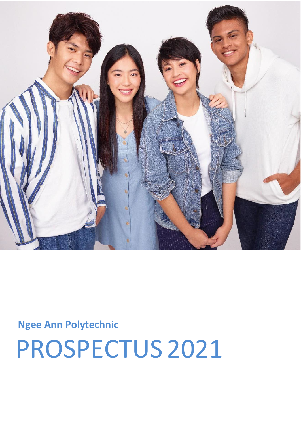

## Ngee Ann Polytechnic

PROSPECTUS 2021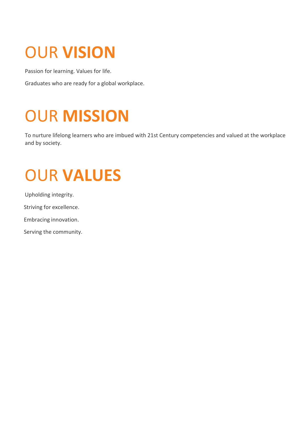# OUR **VISION**

Passion for learning. Values for life.

Graduates who are ready for a global workplace.

# OUR **MISSION**

To nurture lifelong learners who are imbued with 21st Century competencies and valued at the workplace and by society.

## OUR **VALUES**

Upholding integrity.

Striving for excellence.

Embracing innovation.

Serving the community.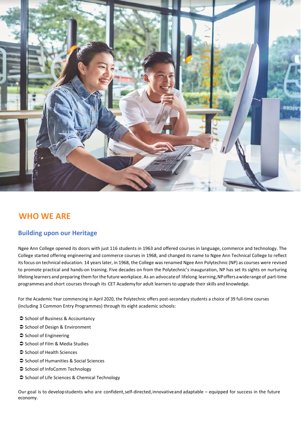

## **WHO WE ARE**

### **Building upon our Heritage**

Ngee Ann College opened its doors with just 116 students in 1963 and offered courses in language, commerce and technology. The College started offering engineering and commerce courses in 1968, and changed its name to Ngee Ann Technical College to reflect itsfocus on technical education. 14 yearslater, in 1968, the College wasrenamed Ngee Ann Polytechnic (NP) as courses were revised to promote practical and hands-on training. Five decades on from the Polytechnic's inauguration, NP has set its sights on nurturing lifelong learners and preparing them for the future workplace. As an advocate of lifelong learning, NP offers a wide range of part-time programmes and short courses through its CET [Academy fo](http://www.np.edu.sg/cet)r adult learners to upgrade their skills and knowledge.

For the Academic Year commencing in April 2020, the Polytechnic offers post-secondary students a choice of 39 full-time courses (including 3 Common Entry Programmes) through its eight academic schools:

- [School of Business & Accountancy](http://www.np.edu.sg/ba/Pages/Default.aspx)
- [School of Design & Environment](http://www.np.edu.sg/de/Pages/default.aspx)
- $\supset$  [School of Engineering](http://www.np.edu.sg/soe/Pages/default.aspx)
- **●** [School of Film & Media Studies](http://www.np.edu.sg/fms/Pages/default.aspx)
- [School of Health Sciences](http://www.np.edu.sg/hs/Pages/default.aspx)
- [School of Humanities & Social Sciences](http://www.np.edu.sg/hms/Pages/default.aspx)
- $\supset$  [School of InfoComm Technology](http://www.np.edu.sg/ict/Pages/default.aspx)
- School of Life [Sciences & Chemical Technology](http://www.np.edu.sg/lsct/Pages/default.aspx)

Our goal is to develop students who are confident,self-directed,innovativeand adaptable – equipped for success in the future economy.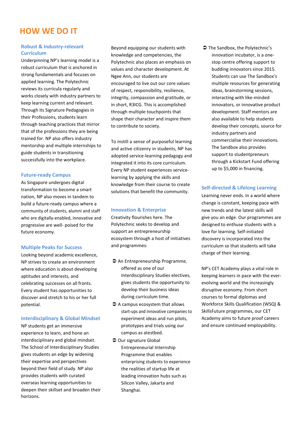### **HOW WE DO IT**

#### **Robust & Industry-relevant Curriculum**

Underpinning NP's learning model is a robust curriculum that is anchored in strong fundamentals and focuses on applied learning. The Polytechnic reviews its curricula regularly and works closely with industry partners to keep learning current and relevant. Through its Signature Pedagogies in their Professions, students learn through teaching practices that mirror that of the professions they are being trained for. NP also offers industry mentorship and multiple internships to guide students in transitioning successfully into the workplace.

#### **Future-ready Campus**

As Singapore undergoes digital transformation to become a smart nation, NP also moves in tandem to build a future-ready campus where a community of students, alumni and staff who are digitally-enabled, innovative and progressive are well- poised for the future economy.

#### **Multiple Peaks for Success**

Looking beyond academic excellence, NP strives to create an environment where education is about developing aptitudes and interests, and celebrating successes on all fronts. Every student has opportunities to discover and stretch to his or her full potential.

#### **Interdisciplinary & Global Mindset**

NP students get an immersive experience to learn, and hone an interdisciplinary and global mindset. The School of Interdisciplinary Studies gives students an edge by widening their expertise and perspectives beyond their field of study. NP also provides students with curated overseas learning opportunities to deepen their skillset and broaden their horizons.

Beyond equipping our students with knowledge and competencies, the Polytechnic also places an emphasis on values and character development. At Ngee Ann, our students are encouraged to live out our core values of respect, responsibility, resilience, integrity, compassion and gratitude, or in short, R3ICG. This is accomplished through multiple touchpoints that shape their character and inspire them to contribute to society.

To instill a sense of purposeful learning and active citizenry in students, NP has adopted service-learning pedagogy and integrated it into its core curriculum. Every NP student experiences servicelearning by applying the skills and knowledge from their course to create solutions that benefit the community.

#### **Innovation & Enterprise**

Creativity flourishes here. The Polytechnic seeks to develop and support an entrepreneurship ecosystem through a host of initiatives and programmes:

- $\supset$  An Entrepreneurship Programme, offered as one of our Interdisciplinary Studies electives, gives students the opportunity to develop their business ideas during curriculum time.
- $\supset$  A campus ecosystem that allows start-ups and innovative companies to experiment ideas and run pilots, prototypes and trials using our campus as atestbed.
- $\supset$  Our signatur[e Global](http://www.np.edu.sg/sdo/tcp/Pages/default.aspx) [Entrepreneurial Internship](http://www.np.edu.sg/sdo/tcp/Pages/default.aspx) [Programme t](http://www.np.edu.sg/sdo/tcp/Pages/default.aspx)hat enables enterprising students to experience the realities of startup life at leading innovation hubs such as Silicon Valley, Jakarta and Shanghai.

**◯** [The Sandbox, t](http://www.np.edu.sg/thesandbox/Pages/default.aspx)he Polytechnic's innovation incubator, is a onestop centre offering support to budding innovators since 2015. Students can use The Sandbox's multiple resources for generating ideas, brainstorming sessions, interacting with like-minded innovators, or innovative product development. Staff mentors are also available to help students develop their concepts, source for industry partners and commercialise their innovations. The Sandbox also provides support to studentpreneurs through a Kickstart Fund offering up to \$5,000 in financing.

#### **Self-directed & Lifelong Learning**

Learning never ends. In a world where change is constant, keeping pace with new trends and the latest skills will give you an edge. Our programmes are designed to enthuse students with a love for learning. Self-initiated discovery is incorporated into the curriculum so that students will take charge of their learning.

NP's [CET Academy p](http://www.np.edu.sg/cet/Pages/default.aspx)lays a vital role in keeping learners in pace with the everevolving world and the increasingly disruptive economy. From short courses to formal diplomas and Workforce Skills Qualification (WSQ) & SkillsFuture programmes, our CET Academy aims to future proof careers and ensure continued employability.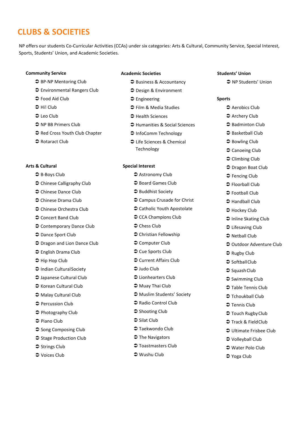## **CLUBS & SOCIETIES**

NP offers our students Co-Curricular Activities (CCAs) under six categories: Arts & Cultural, Community Service, Special Interest, Sports, Students' Union, and Academic Societies.

#### **Community Service**

- S BP-NP Mentoring Club
- Environmental Rangers Club
- $\bullet$  Food Aid Club
- $ightharpoonup$  Hi! Club
- **⊃** Leo Club
- $\supset$  NP BB Primers Club
- $\supset$  Red Cross Youth Club Chapter
- **→ Rotaract Club**

#### **Arts & Cultural**

- $\supset$  B-Boys Club
- $\supset$  Chinese Calligraphy Club
- **◯** Chinese Dance Club
- Chinese Drama Club
- **●** Chinese Orchestra Club
- $\supset$  Concert Band Club
- Contemporary Dance Club
- $\supset$  Dance Sport Club
- $\supset$  Dragon and Lion Dance Club
- English Drama Club
- $\supset$  Hip Hop Club
- Indian CulturalSociety
- Japanese Cultural Club
- $\bullet$  Korean Cultural Club
- $\supset$  Malay Cultural Club
- $\supset$  Percussion Club
- $\supset$  Photography Club
- $\bullet$  Piano Club
- $\supset$  Song Composing Club
- $\supset$  Stage Production Club
- $\supset$  Strings Club
- Voices Club

#### **Academic Societies**

- **Business & Accountancy**
- Design & Environment
- **◯** Engineering
- **→ Film & Media Studies**
- **→ Health Sciences**
- **Humanities & Social Sciences**
- $\supset$  InfoComm Technology
- Life Sciences & Chemical Technology

#### **Special Interest**

- $\supset$  Astronomy Club
	- **●** Board Games Club
- **●** Buddhist Society
- $\supset$  Campus Crusade for Christ
- Catholic Youth Apostolate
- $\supset$  CCA Champions Club
- **◯** Chess Club
- Christian Fellowship
- $\supset$  Computer Club
- $\supset$  Cue Sports Club
- Current Affairs Club
- $\supset$  Judo Club
- Lionhearters Club
- $\supset$  Muay Thai Club
- Muslim Students' Society
- **Radio Control Club**
- $\supset$  Shooting Club
- $\supset$  Silat Club
- $\supset$  Taekwondo Club
- $\supset$  The Navigators
- $\supset$  Toastmasters Club
- $\bullet$  Wushu Club

#### **Students' Union**

**→ NP Students' Union** 

#### **Sports**

- $\bullet$  Aerobics Club
- $\supset$  Archery Club
- Badminton Club
- **■** Basketball Club
- **■** Bowling Club
- $\bullet$  Canoeing Club
- $\supset$  Climbing Club
- $□$  Dragon Boat Club
- $\supset$  Fencing Club
- $\supset$  Floorball Club
- $\supset$  Football Club
- $\triangle$  Handball Club
- $\supset$  Hockey Club
- $\supset$  Inline Skating Club
- Lifesaving Club
- $\supset$  Netball Club
- **◯ Outdoor Adventure Club**
- **◯ Rugby Club**
- $\supset$  SoftballClub
- $\supset$  Squash Club
- $\supset$  Swimming Club
- $\supset$  Table Tennis Club
- $\supset$  Tchoukball Club
- $\supset$  Tennis Club
- $\supset$  Touch Rugby Club
- Track & Field Club
- Ultimate Frisbee Club
- Volleyball Club
- Water Polo Club
- $\supset$  Yoga Club